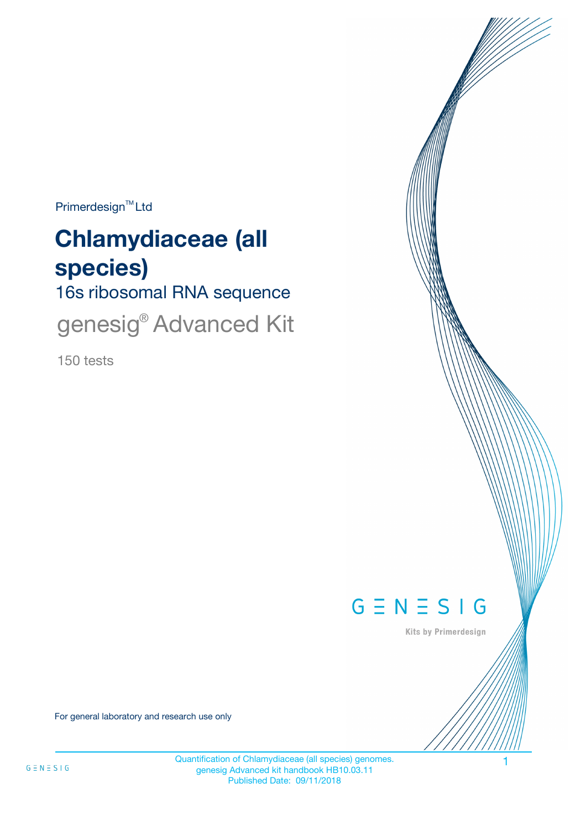$Primerdesign^{\text{TM}}$ Ltd

# **Chlamydiaceae (all species)**

16s ribosomal RNA sequence

genesig<sup>®</sup> Advanced Kit

150 tests



Kits by Primerdesign

For general laboratory and research use only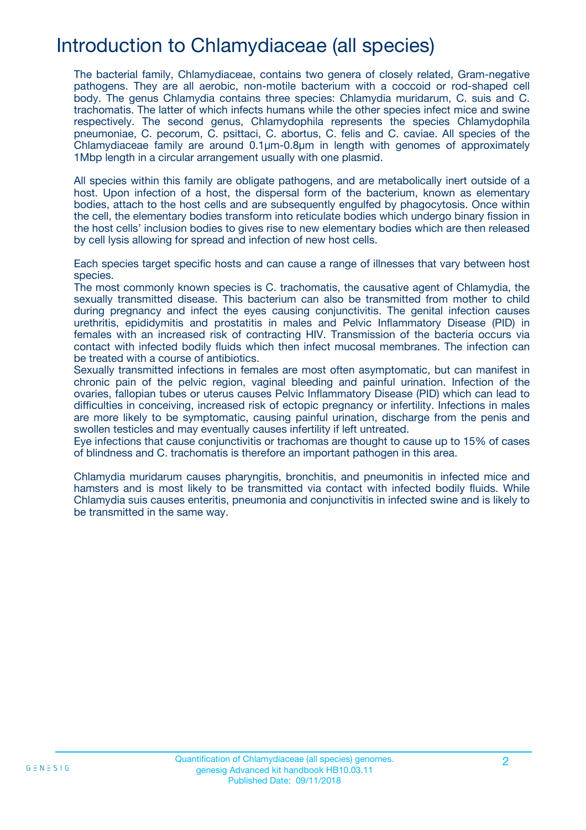# Introduction to Chlamydiaceae (all species)

The bacterial family, Chlamydiaceae, contains two genera of closely related, Gram-negative pathogens. They are all aerobic, non-motile bacterium with a coccoid or rod-shaped cell body. The genus Chlamydia contains three species: Chlamydia muridarum, C. suis and C. trachomatis. The latter of which infects humans while the other species infect mice and swine respectively. The second genus, Chlamydophila represents the species Chlamydophila pneumoniae, C. pecorum, C. psittaci, C. abortus, C. felis and C. caviae. All species of the Chlamydiaceae family are around 0.1µm-0.8µm in length with genomes of approximately 1Mbp length in a circular arrangement usually with one plasmid.

All species within this family are obligate pathogens, and are metabolically inert outside of a host. Upon infection of a host, the dispersal form of the bacterium, known as elementary bodies, attach to the host cells and are subsequently engulfed by phagocytosis. Once within the cell, the elementary bodies transform into reticulate bodies which undergo binary fission in the host cells' inclusion bodies to gives rise to new elementary bodies which are then released by cell lysis allowing for spread and infection of new host cells.

Each species target specific hosts and can cause a range of illnesses that vary between host species.

The most commonly known species is C. trachomatis, the causative agent of Chlamydia, the sexually transmitted disease. This bacterium can also be transmitted from mother to child during pregnancy and infect the eyes causing conjunctivitis. The genital infection causes urethritis, epididymitis and prostatitis in males and Pelvic Inflammatory Disease (PID) in females with an increased risk of contracting HIV. Transmission of the bacteria occurs via contact with infected bodily fluids which then infect mucosal membranes. The infection can be treated with a course of antibiotics.

Sexually transmitted infections in females are most often asymptomatic, but can manifest in chronic pain of the pelvic region, vaginal bleeding and painful urination. Infection of the ovaries, fallopian tubes or uterus causes Pelvic Inflammatory Disease (PID) which can lead to difficulties in conceiving, increased risk of ectopic pregnancy or infertility. Infections in males are more likely to be symptomatic, causing painful urination, discharge from the penis and swollen testicles and may eventually causes infertility if left untreated.

Eye infections that cause conjunctivitis or trachomas are thought to cause up to 15% of cases of blindness and C. trachomatis is therefore an important pathogen in this area.

Chlamydia muridarum causes pharyngitis, bronchitis, and pneumonitis in infected mice and hamsters and is most likely to be transmitted via contact with infected bodily fluids. While Chlamydia suis causes enteritis, pneumonia and conjunctivitis in infected swine and is likely to be transmitted in the same way.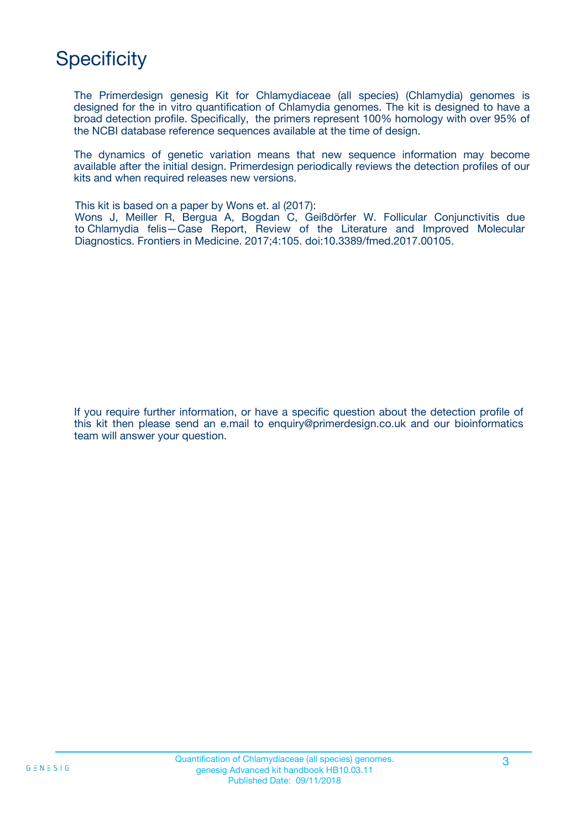# **Specificity**

The Primerdesign genesig Kit for Chlamydiaceae (all species) (Chlamydia) genomes is designed for the in vitro quantification of Chlamydia genomes. The kit is designed to have a broad detection profile. Specifically, the primers represent 100% homology with over 95% of the NCBI database reference sequences available at the time of design.

The dynamics of genetic variation means that new sequence information may become available after the initial design. Primerdesign periodically reviews the detection profiles of our kits and when required releases new versions.

This kit is based on a paper by Wons et. al (2017):

Wons J, Meiller R, Bergua A, Bogdan C, Geißdörfer W. Follicular Conjunctivitis due to Chlamydia felis—Case Report, Review of the Literature and Improved Molecular Diagnostics. Frontiers in Medicine. 2017;4:105. doi:10.3389/fmed.2017.00105.

If you require further information, or have a specific question about the detection profile of this kit then please send an e.mail to enquiry@primerdesign.co.uk and our bioinformatics team will answer your question.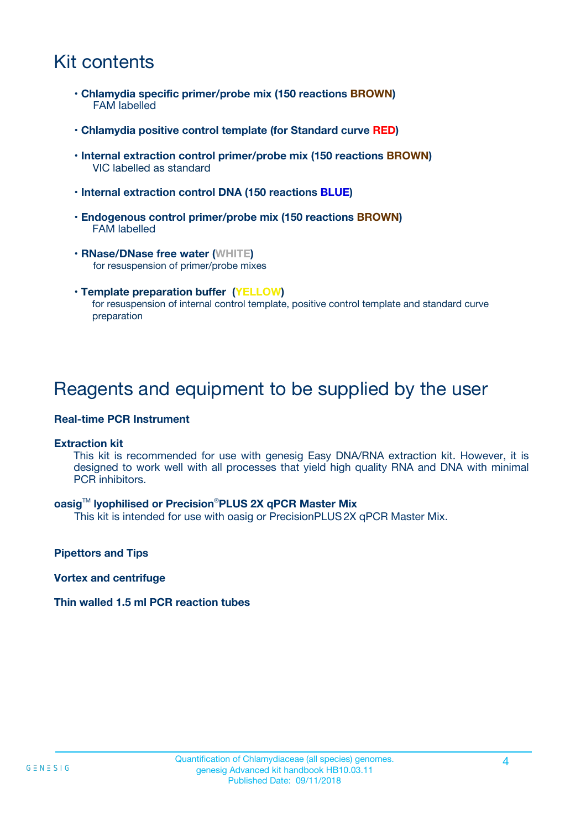# Kit contents

- **Chlamydia specific primer/probe mix (150 reactions BROWN)** FAM labelled
- **Chlamydia positive control template (for Standard curve RED)**
- **Internal extraction control primer/probe mix (150 reactions BROWN)** VIC labelled as standard
- **Internal extraction control DNA (150 reactions BLUE)**
- **Endogenous control primer/probe mix (150 reactions BROWN)** FAM labelled
- **RNase/DNase free water (WHITE)** for resuspension of primer/probe mixes
- **Template preparation buffer (YELLOW)** for resuspension of internal control template, positive control template and standard curve preparation

## Reagents and equipment to be supplied by the user

#### **Real-time PCR Instrument**

#### **Extraction kit**

This kit is recommended for use with genesig Easy DNA/RNA extraction kit. However, it is designed to work well with all processes that yield high quality RNA and DNA with minimal PCR inhibitors.

#### **oasig**TM **lyophilised or Precision**®**PLUS 2X qPCR Master Mix**

This kit is intended for use with oasig or PrecisionPLUS2X qPCR Master Mix.

**Pipettors and Tips**

**Vortex and centrifuge**

#### **Thin walled 1.5 ml PCR reaction tubes**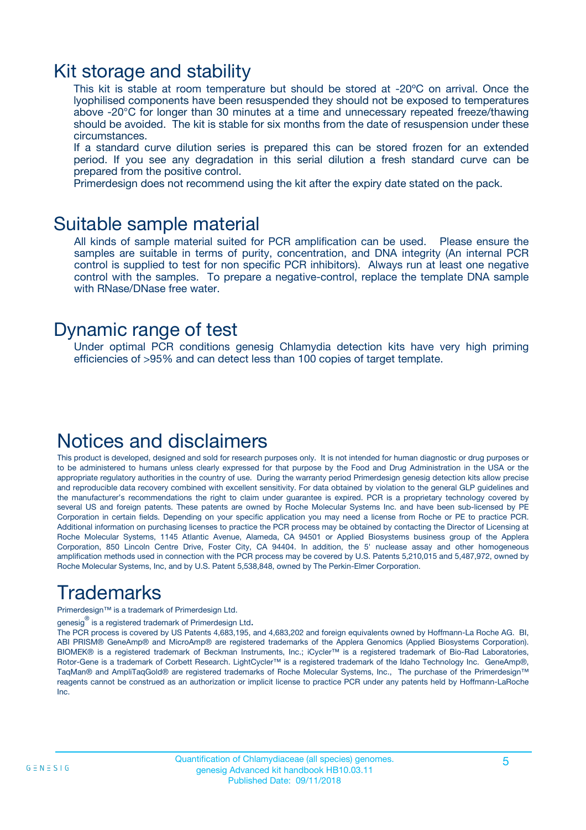### Kit storage and stability

This kit is stable at room temperature but should be stored at -20ºC on arrival. Once the lyophilised components have been resuspended they should not be exposed to temperatures above -20°C for longer than 30 minutes at a time and unnecessary repeated freeze/thawing should be avoided. The kit is stable for six months from the date of resuspension under these circumstances.

If a standard curve dilution series is prepared this can be stored frozen for an extended period. If you see any degradation in this serial dilution a fresh standard curve can be prepared from the positive control.

Primerdesign does not recommend using the kit after the expiry date stated on the pack.

### Suitable sample material

All kinds of sample material suited for PCR amplification can be used. Please ensure the samples are suitable in terms of purity, concentration, and DNA integrity (An internal PCR control is supplied to test for non specific PCR inhibitors). Always run at least one negative control with the samples. To prepare a negative-control, replace the template DNA sample with RNase/DNase free water.

### Dynamic range of test

Under optimal PCR conditions genesig Chlamydia detection kits have very high priming efficiencies of >95% and can detect less than 100 copies of target template.

### Notices and disclaimers

This product is developed, designed and sold for research purposes only. It is not intended for human diagnostic or drug purposes or to be administered to humans unless clearly expressed for that purpose by the Food and Drug Administration in the USA or the appropriate regulatory authorities in the country of use. During the warranty period Primerdesign genesig detection kits allow precise and reproducible data recovery combined with excellent sensitivity. For data obtained by violation to the general GLP guidelines and the manufacturer's recommendations the right to claim under guarantee is expired. PCR is a proprietary technology covered by several US and foreign patents. These patents are owned by Roche Molecular Systems Inc. and have been sub-licensed by PE Corporation in certain fields. Depending on your specific application you may need a license from Roche or PE to practice PCR. Additional information on purchasing licenses to practice the PCR process may be obtained by contacting the Director of Licensing at Roche Molecular Systems, 1145 Atlantic Avenue, Alameda, CA 94501 or Applied Biosystems business group of the Applera Corporation, 850 Lincoln Centre Drive, Foster City, CA 94404. In addition, the 5' nuclease assay and other homogeneous amplification methods used in connection with the PCR process may be covered by U.S. Patents 5,210,015 and 5,487,972, owned by Roche Molecular Systems, Inc, and by U.S. Patent 5,538,848, owned by The Perkin-Elmer Corporation.

# Trademarks

Primerdesign™ is a trademark of Primerdesign Ltd.

genesig $^\circledR$  is a registered trademark of Primerdesign Ltd.

The PCR process is covered by US Patents 4,683,195, and 4,683,202 and foreign equivalents owned by Hoffmann-La Roche AG. BI, ABI PRISM® GeneAmp® and MicroAmp® are registered trademarks of the Applera Genomics (Applied Biosystems Corporation). BIOMEK® is a registered trademark of Beckman Instruments, Inc.; iCycler™ is a registered trademark of Bio-Rad Laboratories, Rotor-Gene is a trademark of Corbett Research. LightCycler™ is a registered trademark of the Idaho Technology Inc. GeneAmp®, TaqMan® and AmpliTaqGold® are registered trademarks of Roche Molecular Systems, Inc., The purchase of the Primerdesign™ reagents cannot be construed as an authorization or implicit license to practice PCR under any patents held by Hoffmann-LaRoche Inc.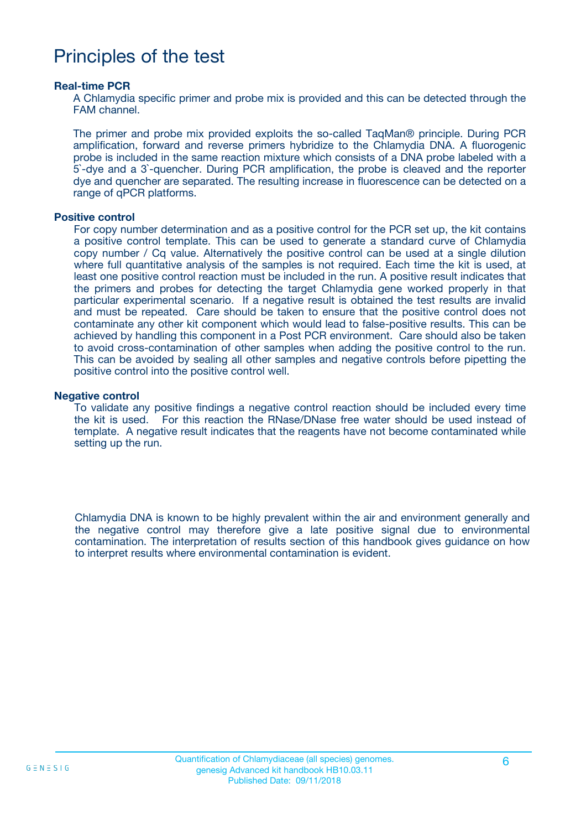## Principles of the test

#### **Real-time PCR**

A Chlamydia specific primer and probe mix is provided and this can be detected through the FAM channel.

The primer and probe mix provided exploits the so-called TaqMan® principle. During PCR amplification, forward and reverse primers hybridize to the Chlamydia DNA. A fluorogenic probe is included in the same reaction mixture which consists of a DNA probe labeled with a 5`-dye and a 3`-quencher. During PCR amplification, the probe is cleaved and the reporter dye and quencher are separated. The resulting increase in fluorescence can be detected on a range of qPCR platforms.

#### **Positive control**

For copy number determination and as a positive control for the PCR set up, the kit contains a positive control template. This can be used to generate a standard curve of Chlamydia copy number / Cq value. Alternatively the positive control can be used at a single dilution where full quantitative analysis of the samples is not required. Each time the kit is used, at least one positive control reaction must be included in the run. A positive result indicates that the primers and probes for detecting the target Chlamydia gene worked properly in that particular experimental scenario. If a negative result is obtained the test results are invalid and must be repeated. Care should be taken to ensure that the positive control does not contaminate any other kit component which would lead to false-positive results. This can be achieved by handling this component in a Post PCR environment. Care should also be taken to avoid cross-contamination of other samples when adding the positive control to the run. This can be avoided by sealing all other samples and negative controls before pipetting the positive control into the positive control well.

#### **Negative control**

To validate any positive findings a negative control reaction should be included every time the kit is used. For this reaction the RNase/DNase free water should be used instead of template. A negative result indicates that the reagents have not become contaminated while setting up the run.

Chlamydia DNA is known to be highly prevalent within the air and environment generally and the negative control may therefore give a late positive signal due to environmental contamination. The interpretation of results section of this handbook gives guidance on how to interpret results where environmental contamination is evident.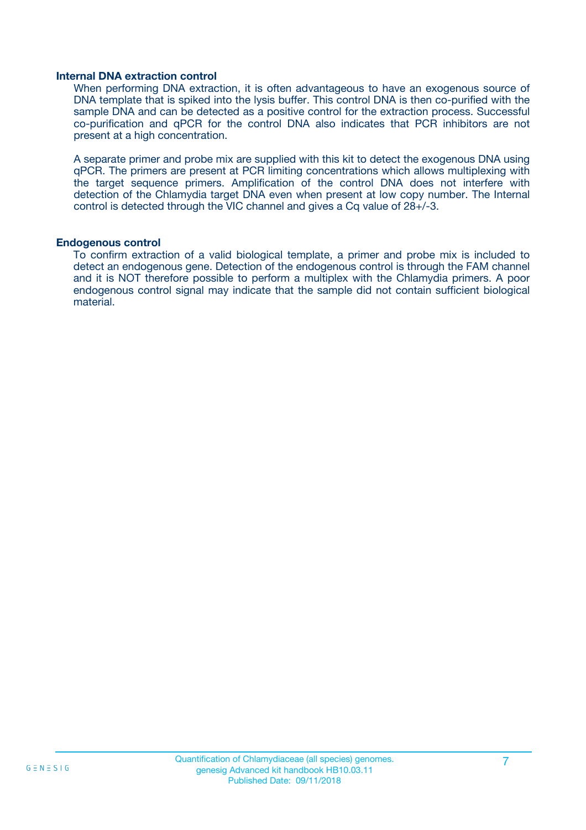#### **Internal DNA extraction control**

When performing DNA extraction, it is often advantageous to have an exogenous source of DNA template that is spiked into the lysis buffer. This control DNA is then co-purified with the sample DNA and can be detected as a positive control for the extraction process. Successful co-purification and qPCR for the control DNA also indicates that PCR inhibitors are not present at a high concentration.

A separate primer and probe mix are supplied with this kit to detect the exogenous DNA using qPCR. The primers are present at PCR limiting concentrations which allows multiplexing with the target sequence primers. Amplification of the control DNA does not interfere with detection of the Chlamydia target DNA even when present at low copy number. The Internal control is detected through the VIC channel and gives a Cq value of 28+/-3.

#### **Endogenous control**

To confirm extraction of a valid biological template, a primer and probe mix is included to detect an endogenous gene. Detection of the endogenous control is through the FAM channel and it is NOT therefore possible to perform a multiplex with the Chlamydia primers. A poor endogenous control signal may indicate that the sample did not contain sufficient biological material.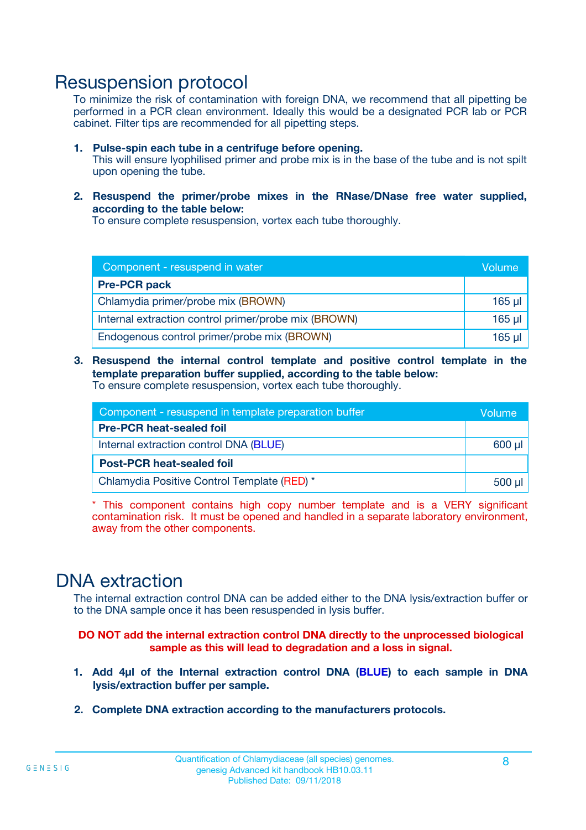### Resuspension protocol

To minimize the risk of contamination with foreign DNA, we recommend that all pipetting be performed in a PCR clean environment. Ideally this would be a designated PCR lab or PCR cabinet. Filter tips are recommended for all pipetting steps.

- **1. Pulse-spin each tube in a centrifuge before opening.** This will ensure lyophilised primer and probe mix is in the base of the tube and is not spilt upon opening the tube.
- **2. Resuspend the primer/probe mixes in the RNase/DNase free water supplied, according to the table below:**

To ensure complete resuspension, vortex each tube thoroughly.

| Component - resuspend in water                       |          |  |
|------------------------------------------------------|----------|--|
| <b>Pre-PCR pack</b>                                  |          |  |
| Chlamydia primer/probe mix (BROWN)                   | $165$ µl |  |
| Internal extraction control primer/probe mix (BROWN) | $165$ µl |  |
| Endogenous control primer/probe mix (BROWN)          | 165 µl   |  |

**3. Resuspend the internal control template and positive control template in the template preparation buffer supplied, according to the table below:** To ensure complete resuspension, vortex each tube thoroughly.

| Component - resuspend in template preparation buffer |          |  |  |
|------------------------------------------------------|----------|--|--|
| <b>Pre-PCR heat-sealed foil</b>                      |          |  |  |
| Internal extraction control DNA (BLUE)               |          |  |  |
| <b>Post-PCR heat-sealed foil</b>                     |          |  |  |
| Chlamydia Positive Control Template (RED) *          | $500$ µl |  |  |

\* This component contains high copy number template and is a VERY significant contamination risk. It must be opened and handled in a separate laboratory environment, away from the other components.

### DNA extraction

The internal extraction control DNA can be added either to the DNA lysis/extraction buffer or to the DNA sample once it has been resuspended in lysis buffer.

**DO NOT add the internal extraction control DNA directly to the unprocessed biological sample as this will lead to degradation and a loss in signal.**

- **1. Add 4µl of the Internal extraction control DNA (BLUE) to each sample in DNA lysis/extraction buffer per sample.**
- **2. Complete DNA extraction according to the manufacturers protocols.**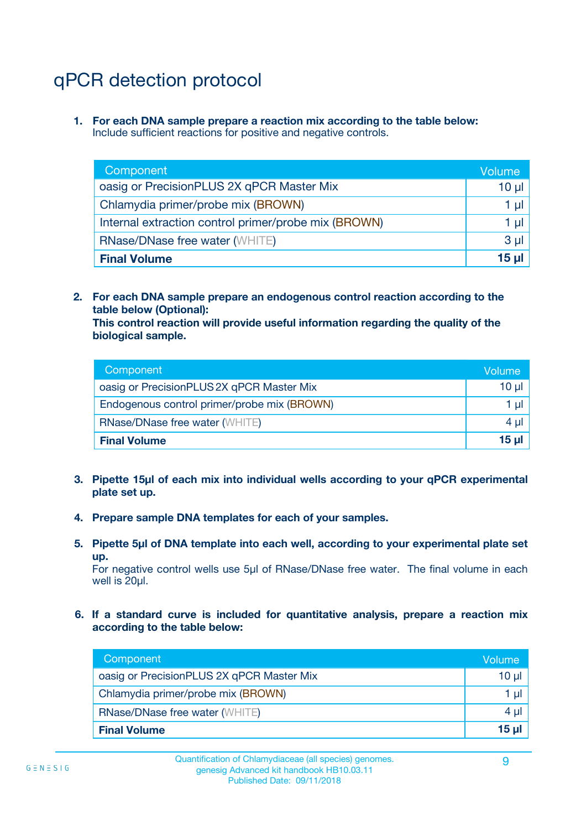# qPCR detection protocol

**1. For each DNA sample prepare a reaction mix according to the table below:** Include sufficient reactions for positive and negative controls.

| Component                                            | Volume   |
|------------------------------------------------------|----------|
| oasig or PrecisionPLUS 2X qPCR Master Mix            | $10 \mu$ |
| Chlamydia primer/probe mix (BROWN)                   | 1 µI     |
| Internal extraction control primer/probe mix (BROWN) | 1 µl     |
| <b>RNase/DNase free water (WHITE)</b>                | $3 \mu$  |
| <b>Final Volume</b>                                  | 15 µl    |

**2. For each DNA sample prepare an endogenous control reaction according to the table below (Optional):**

**This control reaction will provide useful information regarding the quality of the biological sample.**

| Component                                   | Volume          |
|---------------------------------------------|-----------------|
| oasig or PrecisionPLUS 2X qPCR Master Mix   | 10 µl           |
| Endogenous control primer/probe mix (BROWN) | 1 ul            |
| <b>RNase/DNase free water (WHITE)</b>       | $4 \mu$         |
| <b>Final Volume</b>                         | 15 <sub>µ</sub> |

- **3. Pipette 15µl of each mix into individual wells according to your qPCR experimental plate set up.**
- **4. Prepare sample DNA templates for each of your samples.**
- **5. Pipette 5µl of DNA template into each well, according to your experimental plate set up.**

For negative control wells use 5µl of RNase/DNase free water. The final volume in each well is 20ul.

**6. If a standard curve is included for quantitative analysis, prepare a reaction mix according to the table below:**

| Component                                 | Volume   |
|-------------------------------------------|----------|
| oasig or PrecisionPLUS 2X qPCR Master Mix | $10 \mu$ |
| Chlamydia primer/probe mix (BROWN)        |          |
| <b>RNase/DNase free water (WHITE)</b>     | 4 µl     |
| <b>Final Volume</b>                       | 15 µl    |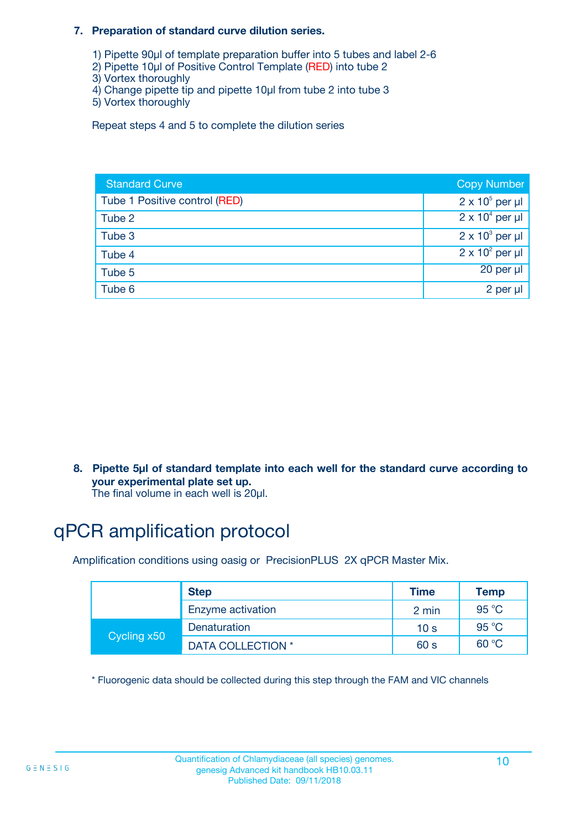#### **7. Preparation of standard curve dilution series.**

- 1) Pipette 90µl of template preparation buffer into 5 tubes and label 2-6
- 2) Pipette 10µl of Positive Control Template (RED) into tube 2
- 3) Vortex thoroughly
- 4) Change pipette tip and pipette 10µl from tube 2 into tube 3
- 5) Vortex thoroughly

Repeat steps 4 and 5 to complete the dilution series

| <b>Standard Curve</b>         | <b>Copy Number</b>     |
|-------------------------------|------------------------|
| Tube 1 Positive control (RED) | $2 \times 10^5$ per µl |
| Tube 2                        | $2 \times 10^4$ per µl |
| Tube 3                        | $2 \times 10^3$ per µl |
| Tube 4                        | $2 \times 10^2$ per µl |
| Tube 5                        | 20 per µl              |
| Tube 6                        | 2 per µl               |

**8. Pipette 5µl of standard template into each well for the standard curve according to your experimental plate set up.**

#### The final volume in each well is 20µl.

# qPCR amplification protocol

Amplification conditions using oasig or PrecisionPLUS 2X qPCR Master Mix.

|             | <b>Step</b>       | <b>Time</b>     | Temp    |
|-------------|-------------------|-----------------|---------|
|             | Enzyme activation | 2 min           | 95 °C   |
| Cycling x50 | Denaturation      | 10 <sub>s</sub> | 95 $°C$ |
|             | DATA COLLECTION * | 60 s            | 60 °C   |

\* Fluorogenic data should be collected during this step through the FAM and VIC channels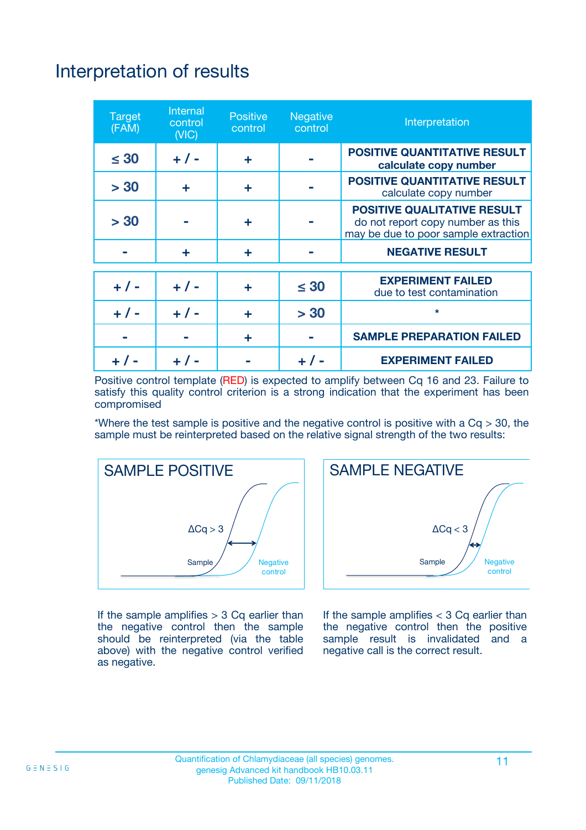# Interpretation of results

| <b>Target</b><br>(FAM) | Internal<br>control<br>(VIC) | <b>Positive</b><br>control | <b>Negative</b><br>control | Interpretation                                                                                                  |
|------------------------|------------------------------|----------------------------|----------------------------|-----------------------------------------------------------------------------------------------------------------|
| $\leq 30$              | $+ 1 -$                      | ÷                          |                            | <b>POSITIVE QUANTITATIVE RESULT</b><br>calculate copy number                                                    |
| > 30                   | ÷                            | ÷                          |                            | <b>POSITIVE QUANTITATIVE RESULT</b><br>calculate copy number                                                    |
| > 30                   |                              | ÷                          |                            | <b>POSITIVE QUALITATIVE RESULT</b><br>do not report copy number as this<br>may be due to poor sample extraction |
|                        | ÷                            | ÷                          |                            | <b>NEGATIVE RESULT</b>                                                                                          |
| $+ 1 -$                | $+ 1 -$                      | ÷                          | $\leq 30$                  | <b>EXPERIMENT FAILED</b><br>due to test contamination                                                           |
| $+$ / -                | $+ 1 -$                      | ÷                          | > 30                       | $\star$                                                                                                         |
|                        |                              | ٠                          |                            | <b>SAMPLE PREPARATION FAILED</b>                                                                                |
|                        |                              |                            |                            | <b>EXPERIMENT FAILED</b>                                                                                        |

Positive control template (RED) is expected to amplify between Cq 16 and 23. Failure to satisfy this quality control criterion is a strong indication that the experiment has been compromised

\*Where the test sample is positive and the negative control is positive with a  $Cq > 30$ , the sample must be reinterpreted based on the relative signal strength of the two results:



If the sample amplifies  $> 3$  Cq earlier than the negative control then the sample should be reinterpreted (via the table above) with the negative control verified as negative.



If the sample amplifies  $<$  3 Cq earlier than the negative control then the positive sample result is invalidated and a negative call is the correct result.